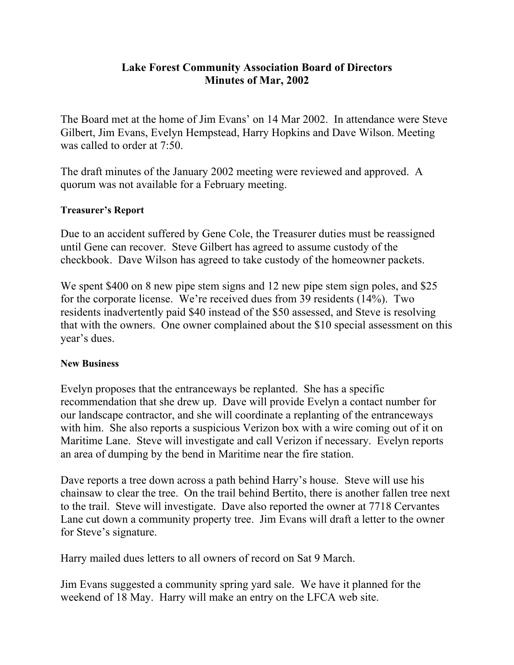## **Lake Forest Community Association Board of Directors Minutes of Mar, 2002**

The Board met at the home of Jim Evans' on 14 Mar 2002. In attendance were Steve Gilbert, Jim Evans, Evelyn Hempstead, Harry Hopkins and Dave Wilson. Meeting was called to order at 7:50.

The draft minutes of the January 2002 meeting were reviewed and approved. A quorum was not available for a February meeting.

## **Treasurer's Report**

Due to an accident suffered by Gene Cole, the Treasurer duties must be reassigned until Gene can recover. Steve Gilbert has agreed to assume custody of the checkbook. Dave Wilson has agreed to take custody of the homeowner packets.

We spent \$400 on 8 new pipe stem signs and 12 new pipe stem sign poles, and \$25 for the corporate license. We're received dues from 39 residents (14%). Two residents inadvertently paid \$40 instead of the \$50 assessed, and Steve is resolving that with the owners. One owner complained about the \$10 special assessment on this year's dues.

## **New Business**

Evelyn proposes that the entranceways be replanted. She has a specific recommendation that she drew up. Dave will provide Evelyn a contact number for our landscape contractor, and she will coordinate a replanting of the entranceways with him. She also reports a suspicious Verizon box with a wire coming out of it on Maritime Lane. Steve will investigate and call Verizon if necessary. Evelyn reports an area of dumping by the bend in Maritime near the fire station.

Dave reports a tree down across a path behind Harry's house. Steve will use his chainsaw to clear the tree. On the trail behind Bertito, there is another fallen tree next to the trail. Steve will investigate. Dave also reported the owner at 7718 Cervantes Lane cut down a community property tree. Jim Evans will draft a letter to the owner for Steve's signature.

Harry mailed dues letters to all owners of record on Sat 9 March.

Jim Evans suggested a community spring yard sale. We have it planned for the weekend of 18 May. Harry will make an entry on the LFCA web site.